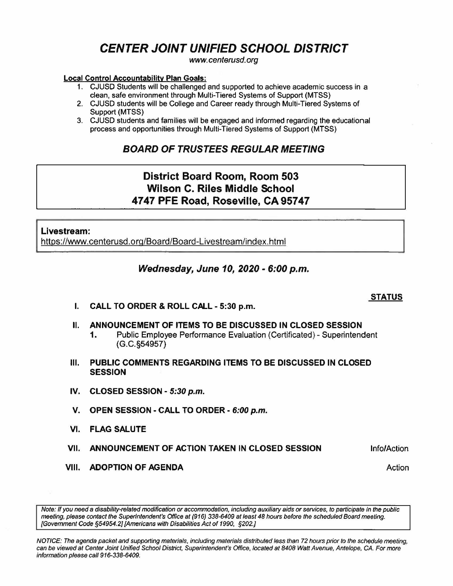# **CENTER JOINT UNIFIED SCHOOL DISTRICT**

www.centerusd.org

#### **Local Control Accountability Plan Goals:**

- 1. CJUSD Students will be challenged and supported to achieve academfc success in a clean, safe environment through Multi-Tiered Systems of Support (MTSS)
- 2. CJUSD students will be College and Career ready through Multi-Tiered Systems of Support **(MTSS)**
- 3. CJUSD students and families will be engaged and informed regarding the educational process and opportunities through Multi-Tiered Systems of Support (MTSS)

## **BOARD OF TRUSTEES REGULAR MEETING**

# **District Board Room, Room 503 Wilson C. Riles Middle School 4747 PFE Road, Roseville, CA 95747**

#### **Livestream:**

https://www.centerusd.org/Board/Board-Livestream/index.html

### **Wednesday, June 10, 2020 - 6:00 p.m.**

**STATUS** 

Info/Action

Action

- **I. CALL TO ORDER & ROLL CALL - 5:30 p.m.**
- II. **ANNOUNCEMENT OF ITEMS TO BE DISCUSSED IN CLOSED SESSION** 
	- **1.** Public Employee Performance Evaluation (Certificated} Superintendent (G.C.§54957)
- **111. PUBLIC COMMENTS REGARDING ITEMS TO BE DISCUSSED IN CLOSED SESSION**
- **IV. CLOSED SESSION - 5:30 p.m.**
- **V. OPEN SESSION - CALL TO ORDER · 6:00 p.m.**
- **VI. FLAG SALUTE**
- **VII. ANNOUNCEMENT OF ACTION TAKEN IN CLOSED SESSION**
- **VIII. ADOPTION OF AGENDA**

Note: If you need a disability-related modification or accommodation, including auxiliary aids or services, to participate in the public meeting, please contact the Superintendent's Office at (916) 338-6409 at least **48** hours before the scheduled Board meeting. {Government Code §54954.2) [Americans with Disabilities Act of 1990, §202.J

NOTICE: The agenda packet and supporting materials, including materials distributed less than 72 hours prior to the schedule meeting, can be viewed at Center Joint Unified School District, Superintendent's Office, located at 8408 Watt Avenue, Antelope, CA. For more information please call 916-338-6409.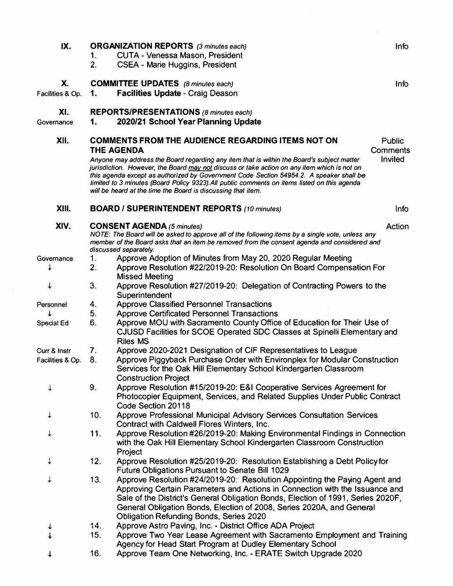| IX.                              | 1.<br>2.   | <b>ORGANIZATION REPORTS</b> (3 minutes each)<br><b>CUTA - Venessa Mason, President</b><br><b>CSEA - Marie Huggins, President</b>                                                                                                                                                                                                                                                                                                                                         | Info                       |
|----------------------------------|------------|--------------------------------------------------------------------------------------------------------------------------------------------------------------------------------------------------------------------------------------------------------------------------------------------------------------------------------------------------------------------------------------------------------------------------------------------------------------------------|----------------------------|
| X.<br>Facilities & Op.           | 1.         | <b>COMMITTEE UPDATES</b> (8 minutes each)<br><b>Facilities Update - Craig Deason</b>                                                                                                                                                                                                                                                                                                                                                                                     | Info                       |
| XI.<br>Governance                | 1.         | <b>REPORTS/PRESENTATIONS (8 minutes each)</b><br>2020/21 School Year Planning Update                                                                                                                                                                                                                                                                                                                                                                                     |                            |
| XII.                             |            | <b>COMMENTS FROM THE AUDIENCE REGARDING ITEMS NOT ON</b>                                                                                                                                                                                                                                                                                                                                                                                                                 | <b>Public</b>              |
|                                  |            | <b>THE AGENDA</b><br>Anyone may address the Board regarding any item that is within the Board's subject matter<br>jurisdiction. However, the Board may not discuss or take action on any item which is not on<br>this agenda except as authorized by Government Code Section 54954.2. A speaker shall be<br>limited to 3 minutes (Board Policy 9323). All public comments on items listed on this agenda<br>will be heard at the time the Board is discussing that item. | <b>Comments</b><br>Invited |
| XIII.                            |            | <b>BOARD / SUPERINTENDENT REPORTS (10 minutes)</b>                                                                                                                                                                                                                                                                                                                                                                                                                       | Info                       |
| XIV.                             |            | <b>CONSENT AGENDA (5 minutes)</b><br>NOTE: The Board will be asked to approve all of the following items by a single vote, unless any<br>member of the Board asks that an item be removed from the consent agenda and considered and<br>discussed separately.                                                                                                                                                                                                            | Action                     |
| Governance                       | 1.         | Approve Adoption of Minutes from May 20, 2020 Regular Meeting                                                                                                                                                                                                                                                                                                                                                                                                            |                            |
| ↓                                | 2.         | Approve Resolution #22/2019-20: Resolution On Board Compensation For<br><b>Missed Meeting</b>                                                                                                                                                                                                                                                                                                                                                                            |                            |
| ↓                                | 3.         | Approve Resolution #27/2019-20: Delegation of Contracting Powers to the<br>Superintendent                                                                                                                                                                                                                                                                                                                                                                                |                            |
| Personnel                        | 4.<br>5.   | <b>Approve Classified Personnel Transactions</b><br><b>Approve Certificated Personnel Transactions</b>                                                                                                                                                                                                                                                                                                                                                                   |                            |
| Special Ed                       | 6.         | Approve MOU with Sacramento County Office of Education for Their Use of<br>CJUSD Facilities for SCOE Operated SDC Classes at Spinelli Elementary and<br><b>Riles MS</b>                                                                                                                                                                                                                                                                                                  |                            |
| Curr & Instr<br>Facilities & Op. | 7.<br>8.   | Approve 2020-2021 Designation of CIF Representatives to League<br>Approve Piggyback Purchase Order with Environplex for Modular Construction<br>Services for the Oak Hill Elementary School Kindergarten Classroom<br><b>Construction Project</b>                                                                                                                                                                                                                        |                            |
|                                  | 9.         | Approve Resolution #15/2019-20: E&I Cooperative Services Agreement for<br>Photocopier Equipment, Services, and Related Supplies Under Public Contract<br>Code Section 20118                                                                                                                                                                                                                                                                                              |                            |
| ↓                                | 10.        | Approve Professional Municipal Advisory Services Consultation Services<br>Contract with Caldwell Flores Winters, Inc.                                                                                                                                                                                                                                                                                                                                                    |                            |
| ↓                                | 11.        | Approve Resolution #26/2019-20: Making Environmental Findings in Connection<br>with the Oak Hill Elementary School Kindergarten Classroom Construction<br>Project                                                                                                                                                                                                                                                                                                        |                            |
|                                  | 12.        | Approve Resolution #25/2019-20: Resolution Establishing a Debt Policy for<br><b>Future Obligations Pursuant to Senate Bill 1029</b>                                                                                                                                                                                                                                                                                                                                      |                            |
| ↓                                | 13.        | Approve Resolution #24/2019-20: Resolution Appointing the Paying Agent and<br>Approving Certain Parameters and Actions in Connection with the Issuance and<br>Sale of the District's General Obligation Bonds, Election of 1991, Series 2020F,<br>General Obligation Bonds, Election of 2008, Series 2020A, and General<br>Obligation Refunding Bonds, Series 2020                                                                                                       |                            |
|                                  | 14.        | Approve Astro Paving, Inc. - District Office ADA Project                                                                                                                                                                                                                                                                                                                                                                                                                 |                            |
|                                  | 15.<br>16. | Approve Two Year Lease Agreement with Sacramento Employment and Training<br>Agency for Head Start Program at Dudley Elementary School<br>Approve Team One Networking, Inc. - ERATE Switch Upgrade 2020                                                                                                                                                                                                                                                                   |                            |
|                                  |            |                                                                                                                                                                                                                                                                                                                                                                                                                                                                          |                            |